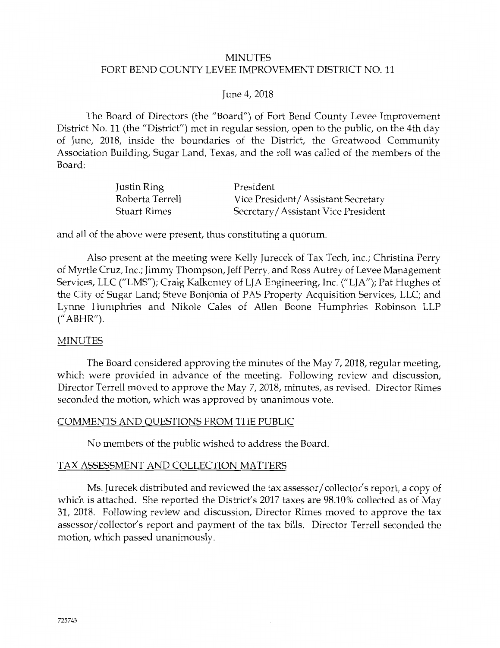## MINUTES FORT BEND COUNTY LEVEE IMPROVEMENT DISTRICT NO. 11

## June 4, 2018

The Board of Directors (the "Board") of Fort Bend County Levee Improvement District No. 11 (the "District") met in regular session, open to the public, on the 4th day of June, 2018, inside the boundaries of the District, the Greatwood Community Association Building, Sugar Land, Texas, and the roll was called of the members of the Board:

| Justin Ring         | President                          |
|---------------------|------------------------------------|
| Roberta Terrell     | Vice President/Assistant Secretary |
| <b>Stuart Rimes</b> | Secretary/Assistant Vice President |

and all of the above were present, thus constituting a quorum.

Also present at the meeting were Kelly Jurecek of Tax Tech, Inc.; Christina Perry of Myrtle Cruz, Inc.; Jimmy Thompson, Jeff Perry, and Ross Autrey of Levee Management Services, LLC ("LMS"); Craig Kalkomey of LJA Engineering, Inc. ("LJA"); Pat Hughes of the City of Sugar Land; Steve Bonjonia of PAS Property Acquisition Services, LLC; and Lynne Humphries and Nikole Cales of Allen Boone Humphries Robinson LLP (" ABHR").

## **MINUTES**

The Board considered approving the minutes of the May 7, 2018, regular meeting, which were provided in advance of the meeting. Following review and discussion, Director Terrell moved to approve the May 7, 2018, minutes, as revised. Director Rimes seconded the motion, which was approved by unanimous vote.

## COMMENTS AND QUESTIONS FROM THE PUBLIC

No members of the public wished to address the Board.

## TAX ASSESSMENT AND COLLECTION MATTERS

Ms. Jurecek distributed and reviewed the tax assessor/collector's report, a copy of which is attached. She reported the District's 2017 taxes are 98.10% collected as of May 31, 2018. Following review and discussion, Director Rimes moved to approve the tax assessor/collector's report and payment of the tax bills. Director Terrell seconded the motion, which passed unanimously.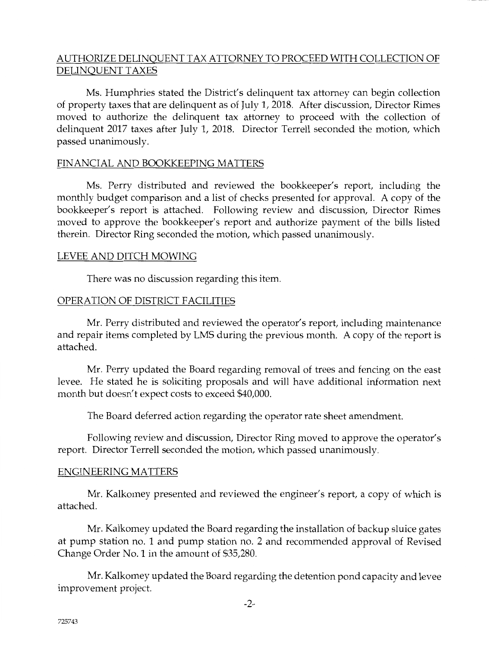## AUTHORIZE DELINQUENT TAX ATTORNEY TO PROCEED WITH COLLECTION OF DELINQUENT TAXES

Ms. Humphries stated the District's delinquent tax attorney can begin collection of property taxes that are delinquent as of July 1, 2018. After discussion, Director Rimes moved to authorize the delinquent tax attorney to proceed with the collection of delinquent 2017 taxes after July 1, 2018. Director Terrell seconded the motion, which passed unanimously.

## FINANCIAL AND BOOKKEEPING MATTERS

Ms. Perry distributed and reviewed the bookkeeper's report, including the monthly budget comparison and a list of checks presented for approval. A copy of the bookkeeper's report is attached. Following review and discussion, Director Rimes moved to approve the bookkeeper's report and authorize payment of the bills listed therein. Director Ring seconded the motion, which passed unanimously.

## LEVEE AND DITCH MOWING

There was no discussion regarding this item.

## OPERATION OF DISTRICT FACILITIES

Mr. Perry distributed and reviewed the operator's report, including maintenance and repair items completed by LMS during the previous month. A copy of the report is attached.

Mr. Perry updated the Board regarding removal of trees and fencing on the east levee. He stated he is soliciting proposals and will have additional information next month but doesn't expect costs to exceed \$40,000.

The Board deferred action regarding the operator rate sheet amendment.

Following review and discussion, Director Ring moved to approve the operator's report. Director Terrell seconded the motion, which passed unanimously.

## ENGINEERING MATTERS

Mr. Kalkomey presented and reviewed the engineer's report, a copy of which is attached.

Mr. Kalkomey updated the Board regarding the installation of backup sluice gates at pump station no. 1 and pump station no. 2 and recommended approval of Revised Change Order No. 1 in the amount of \$35,280.

Mr. Kalkomey updated the Board regarding the detention pond capacity and levee improvement project.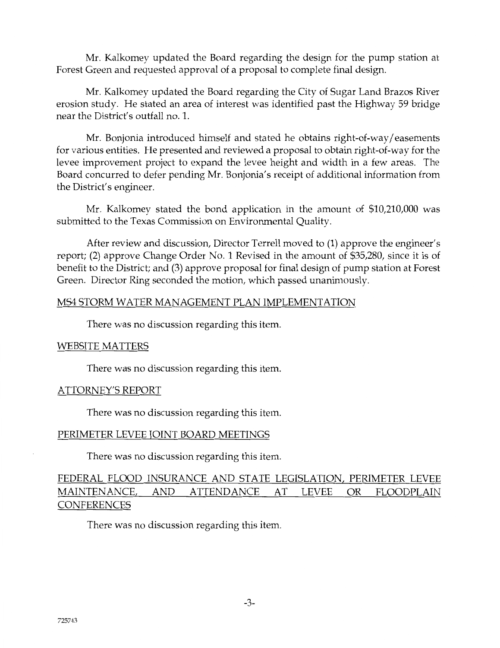Mr. Kalkomey updated the Board regarding the design for the pump station at Forest Green and requested approval of a proposal to complete final design.

Mr. Kalkomey updated the Board regarding the City of Sugar Land Brazos River erosion study. He stated an area of interest was identified past the Highway 59 bridge near the District's outfall no. 1.

Mr. Bonjonia introduced himself and stated he obtains right-of-way/ easements for various entities. He presented and reviewed a proposal to obtain right-of-way for the levee improvement project to expand the levee height and width in a few areas. The Board concurred to defer pending Mr. Bonjonia' s receipt of additional information from the District's engineer.

Mr. Kalkomey stated the bond application in the amount of \$10,210,000 was submitted to the Texas Commission on Environmental Quality.

After review and discussion, Director Terrell moved to (1) approve the engineer's report; (2) approve Change Order No. 1 Revised in the amount of \$35,280, since it is of benefit to the District; and (3) approve proposal for final design of pump station at Forest Green. Director Ring seconded the motion, which passed unanimously.

## MS4 STORM WATER MANAGEMENT PLAN IMPLEMENTATION

There was no discussion regarding this item.

## WEBSITE MATTERS

There was no discussion regarding this item.

## ATTORNEY'S REPORT

There was no discussion regarding this item.

## PERIMETER LEVEE JOINT BOARD MEETINGS

There was no discussion regarding this item.

## FEDERAL FLOOD INSURANCE AND STATE LEGISLATION, PERIMETER LEVEE MAINTENANCE, AND ATTENDANCE AT LEVEE OR FLOODPLAIN **CONFERENCES**

There was no discussion regarding this item.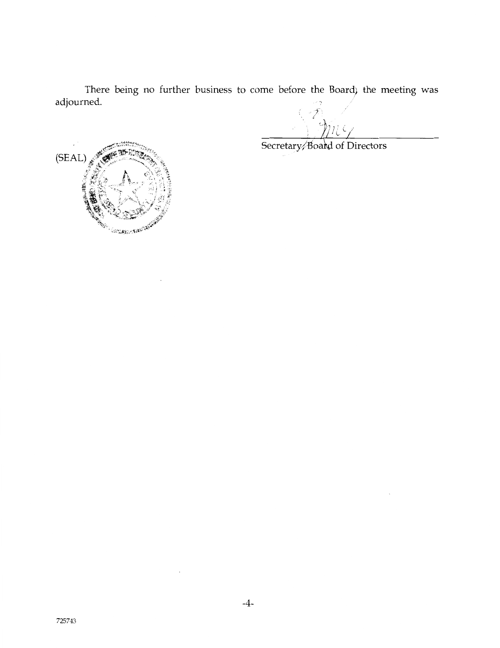There being no further business to come before the Board) the meeting was adjourned.

Secretary/Board of Directors